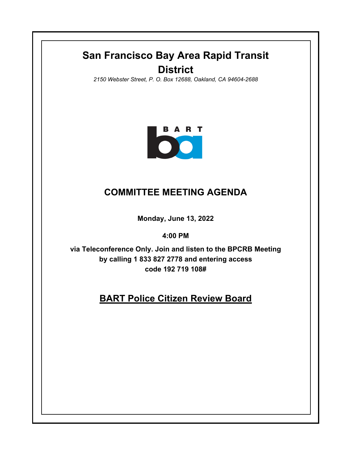## **San Francisco Bay Area Rapid Transit District**

*2150 Webster Street, P. O. Box 12688, Oakland, CA 94604-2688*



## **COMMITTEE MEETING AGENDA**

**Monday, June 13, 2022**

**4:00 PM**

**via Teleconference Only. Join and listen to the BPCRB Meeting by calling 1 833 827 2778 and entering access code 192 719 108#**

## **BART Police Citizen Review Board**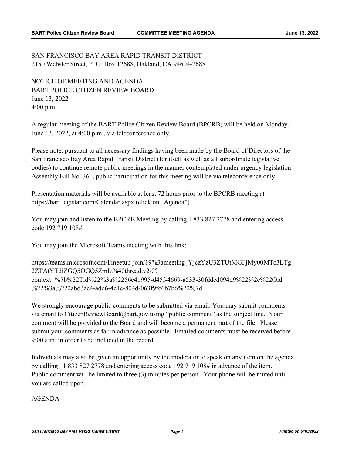SAN FRANCISCO BAY AREA RAPID TRANSIT DISTRICT 2150 Webster Street, P. O. Box 12688, Oakland, CA 94604-2688

NOTICE OF MEETING AND AGENDA BART POLICE CITIZEN REVIEW BOARD June 13, 2022 4:00 p.m.

A regular meeting of the BART Police Citizen Review Board (BPCRB) will be held on Monday, June 13, 2022, at 4:00 p.m., via teleconference only.

Please note, pursuant to all necessary findings having been made by the Board of Directors of the San Francisco Bay Area Rapid Transit District (for itself as well as all subordinate legislative bodies) to continue remote public meetings in the manner contemplated under urgency legislation Assembly Bill No. 361, public participation for this meeting will be via teleconference only.

Presentation materials will be available at least 72 hours prior to the BPCRB meeting at https://bart.legistar.com/Calendar.aspx (click on "Agenda").

You may join and listen to the BPCRB Meeting by calling 1 833 827 2778 and entering access code 192 719 108#

You may join the Microsoft Teams meeting with this link:

https://teams.microsoft.com/l/meetup-join/19%3ameeting\_YjczYzU3ZTUtMGFjMy00MTc3LTg 2ZTAtYTdiZGQ5OGQ5ZmIz%40thread.v2/0? context=%7b%22Tid%22%3a%2256c41995-d45f-4669-a533-30fdded094d9%22%2c%22Oid %22%3a%222abd3ac4-add6-4c1c-804d-063f9fc6b7b6%22%7d

We strongly encourage public comments to be submitted via email. You may submit comments via email to CitizenReviewBoard@bart.gov using "public comment" as the subject line. Your comment will be provided to the Board and will become a permanent part of the file. Please submit your comments as far in advance as possible. Emailed comments must be received before 9:00 a.m. in order to be included in the record.

Individuals may also be given an opportunity by the moderator to speak on any item on the agenda by calling 1 833 827 2778 and entering access code 192 719 108# in advance of the item. Public comment will be limited to three (3) minutes per person. Your phone will be muted until you are called upon.

AGENDA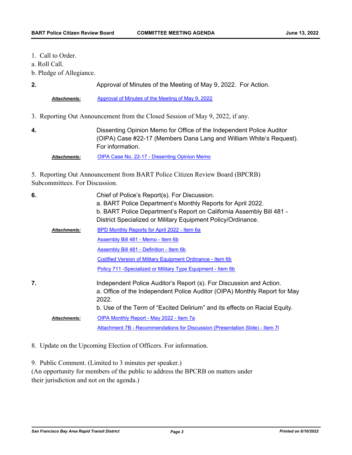- 1. Call to Order.
- a. Roll Call.
- b. Pledge of Allegiance.

| z. | Approval of Minutes of the Meeting of May 9, 2022. For Action. |  |  |
|----|----------------------------------------------------------------|--|--|

*Attachments:* [Approval of Minutes of the Meeting of May 9, 2022](http://bart.legistar.com/gateway.aspx?M=F&ID=1f1e715a-8203-4c98-97f8-e2adb54ff70f.pdf)

- 3. Reporting Out Announcement from the Closed Session of May 9, 2022, if any.
- **4.**

Dissenting Opinion Memo for Office of the Independent Police Auditor (OIPA) Case #22-17 (Members Dana Lang and William White's Request). For information.

*Attachments:* [OIPA Case No. 22-17 - Dissenting Opinion Memo](http://bart.legistar.com/gateway.aspx?M=F&ID=c714a69f-9425-45f8-9342-e8b5ed7585d6.pdf)

5. Reporting Out Announcement from BART Police Citizen Review Board (BPCRB) Subcommittees. For Discussion.

| 6. |                     | Chief of Police's Report(s). For Discussion.<br>a. BART Police Department's Monthly Reports for April 2022.<br>b. BART Police Department's Report on California Assembly Bill 481 -<br>District Specialized or Military Equipment Policy/Ordinance. |
|----|---------------------|-----------------------------------------------------------------------------------------------------------------------------------------------------------------------------------------------------------------------------------------------------|
|    | Attachments:        | BPD Monthly Reports for April 2022 - Item 6a                                                                                                                                                                                                        |
|    |                     | Assembly Bill 481 - Memo - Item 6b                                                                                                                                                                                                                  |
|    |                     | Assembly Bill 481 - Definition - Item 6b                                                                                                                                                                                                            |
|    |                     | Codified Version of Military Equipment Ordinance - Item 6b                                                                                                                                                                                          |
|    |                     | Policy 711 - Specialized or Military Type Equipment - Item 6b                                                                                                                                                                                       |
| 7. |                     | Independent Police Auditor's Report (s). For Discussion and Action.<br>a. Office of the Independent Police Auditor (OIPA) Monthly Report for May<br>2022.                                                                                           |
|    |                     | b. Use of the Term of "Excited Delirium" and its effects on Racial Equity.                                                                                                                                                                          |
|    | <b>Attachments:</b> | OIPA Monthly Report - May 2022 - Item 7a                                                                                                                                                                                                            |
|    |                     | Attachment 7B - Recommendations for Discussion (Presentation Slide) - Item 7                                                                                                                                                                        |
|    |                     |                                                                                                                                                                                                                                                     |

8. Update on the Upcoming Election of Officers. For information.

9. Public Comment. (Limited to 3 minutes per speaker.)

(An opportunity for members of the public to address the BPCRB on matters under their jurisdiction and not on the agenda.)